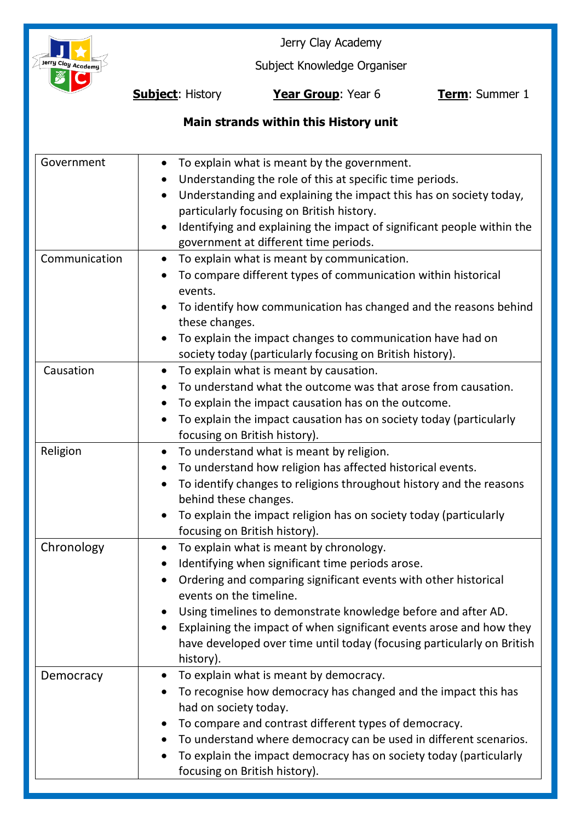

Jerry Clay Academy

Subject Knowledge Organiser

**Subject**: History **Year Group**: Year 6 **Term**: Summer 1

# **Main strands within this History unit**

| Government<br>Communication | To explain what is meant by the government.<br>Understanding the role of this at specific time periods.<br>Understanding and explaining the impact this has on society today,<br>particularly focusing on British history.<br>Identifying and explaining the impact of significant people within the<br>government at different time periods.<br>To explain what is meant by communication.<br>$\bullet$                              |
|-----------------------------|---------------------------------------------------------------------------------------------------------------------------------------------------------------------------------------------------------------------------------------------------------------------------------------------------------------------------------------------------------------------------------------------------------------------------------------|
|                             | To compare different types of communication within historical<br>events.<br>To identify how communication has changed and the reasons behind<br>these changes.<br>To explain the impact changes to communication have had on<br>society today (particularly focusing on British history).                                                                                                                                             |
| Causation                   | To explain what is meant by causation.<br>$\bullet$<br>To understand what the outcome was that arose from causation.<br>To explain the impact causation has on the outcome.<br>To explain the impact causation has on society today (particularly<br>focusing on British history).                                                                                                                                                    |
| Religion                    | To understand what is meant by religion.<br>$\bullet$<br>To understand how religion has affected historical events.<br>$\bullet$<br>To identify changes to religions throughout history and the reasons<br>$\bullet$<br>behind these changes.<br>To explain the impact religion has on society today (particularly<br>focusing on British history).                                                                                   |
| Chronology                  | To explain what is meant by chronology.<br>Identifying when significant time periods arose.<br>Ordering and comparing significant events with other historical<br>events on the timeline.<br>Using timelines to demonstrate knowledge before and after AD.<br>Explaining the impact of when significant events arose and how they<br>$\bullet$<br>have developed over time until today (focusing particularly on British<br>history). |
| Democracy                   | To explain what is meant by democracy.<br>$\bullet$<br>To recognise how democracy has changed and the impact this has<br>had on society today.<br>To compare and contrast different types of democracy.<br>To understand where democracy can be used in different scenarios.<br>To explain the impact democracy has on society today (particularly<br>focusing on British history).                                                   |